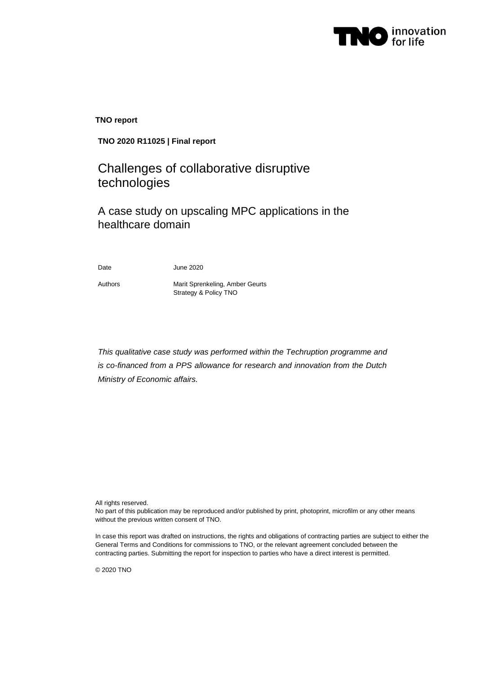

**TNO report**

# **TNO 2020 R11025 | Final report**

# Challenges of collaborative disruptive technologies

A case study on upscaling MPC applications in the healthcare domain

Date June 2020

Authors Marit Sprenkeling, Amber Geurts Strategy & Policy TNO

*This qualitative case study was performed within the Techruption programme and is co-financed from a PPS allowance for research and innovation from the Dutch Ministry of Economic affairs.*

All rights reserved.

No part of this publication may be reproduced and/or published by print, photoprint, microfilm or any other means without the previous written consent of TNO.

In case this report was drafted on instructions, the rights and obligations of contracting parties are subject to either the General Terms and Conditions for commissions to TNO, or the relevant agreement concluded between the contracting parties. Submitting the report for inspection to parties who have a direct interest is permitted.

© 2020 TNO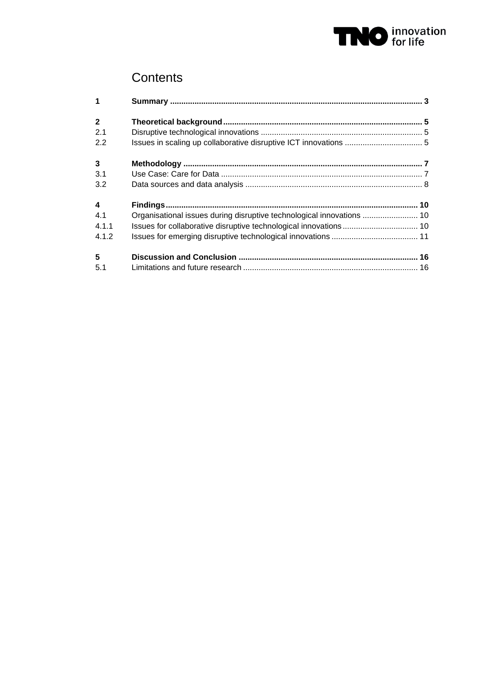

# **Contents**

| $\mathbf{1}$            |                                                                       |  |
|-------------------------|-----------------------------------------------------------------------|--|
| $\overline{2}$          |                                                                       |  |
| 2.1                     |                                                                       |  |
| 2.2                     |                                                                       |  |
| $\mathbf{3}$            |                                                                       |  |
| 3.1                     |                                                                       |  |
| 3.2                     |                                                                       |  |
| $\overline{\mathbf{4}}$ |                                                                       |  |
| 4.1                     | Organisational issues during disruptive technological innovations  10 |  |
| 4.1.1                   | Issues for collaborative disruptive technological innovations 10      |  |
| 4.1.2                   |                                                                       |  |
| 5                       |                                                                       |  |
| 5.1                     |                                                                       |  |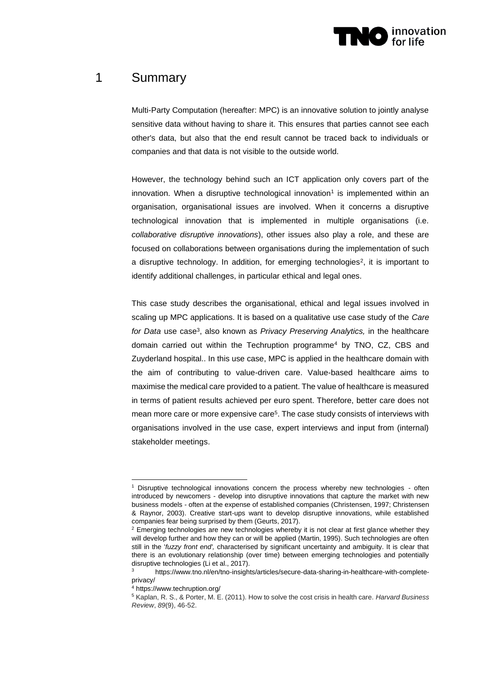

# 1 Summary

Multi-Party Computation (hereafter: MPC) is an innovative solution to jointly analyse sensitive data without having to share it. This ensures that parties cannot see each other's data, but also that the end result cannot be traced back to individuals or companies and that data is not visible to the outside world.

However, the technology behind such an ICT application only covers part of the innovation. When a disruptive technological innovation<sup>1</sup> is implemented within an organisation, organisational issues are involved. When it concerns a disruptive technological innovation that is implemented in multiple organisations (i.e. *collaborative disruptive innovations*), other issues also play a role, and these are focused on collaborations between organisations during the implementation of such a disruptive technology. In addition, for emerging technologies<sup>2</sup>, it is important to identify additional challenges, in particular ethical and legal ones.

This case study describes the organisational, ethical and legal issues involved in scaling up MPC applications. It is based on a qualitative use case study of the *Care*  for Data use case<sup>3</sup>, also known as *Privacy Preserving Analytics,* in the healthcare domain carried out within the Techruption programme<sup>4</sup> by TNO, CZ, CBS and Zuyderland hospital.. In this use case, MPC is applied in the healthcare domain with the aim of contributing to value-driven care. Value-based healthcare aims to maximise the medical care provided to a patient. The value of healthcare is measured in terms of patient results achieved per euro spent. Therefore, better care does not mean more care or more expensive care<sup>5</sup>. The case study consists of interviews with organisations involved in the use case, expert interviews and input from (internal) stakeholder meetings.

<sup>1</sup> Disruptive technological innovations concern the process whereby new technologies - often introduced by newcomers - develop into disruptive innovations that capture the market with new business models - often at the expense of established companies (Christensen, 1997; Christensen & Raynor, 2003). Creative start-ups want to develop disruptive innovations, while established companies fear being surprised by them (Geurts, 2017).

 $2$  Emerging technologies are new technologies whereby it is not clear at first glance whether they will develop further and how they can or will be applied (Martin, 1995). Such technologies are often still in the '*fuzzy front end',* characterised by significant uncertainty and ambiguity. It is clear that there is an evolutionary relationship (over time) between emerging technologies and potentially disruptive technologies (Li et al., 2017).

https://www.tno.nl/en/tno-insights/articles/secure-data-sharing-in-healthcare-with-completeprivacy/

<sup>4</sup> https://www.techruption.org/

<sup>5</sup> Kaplan, R. S., & Porter, M. E. (2011). How to solve the cost crisis in health care. *Harvard Business Review*, *89*(9), 46-52.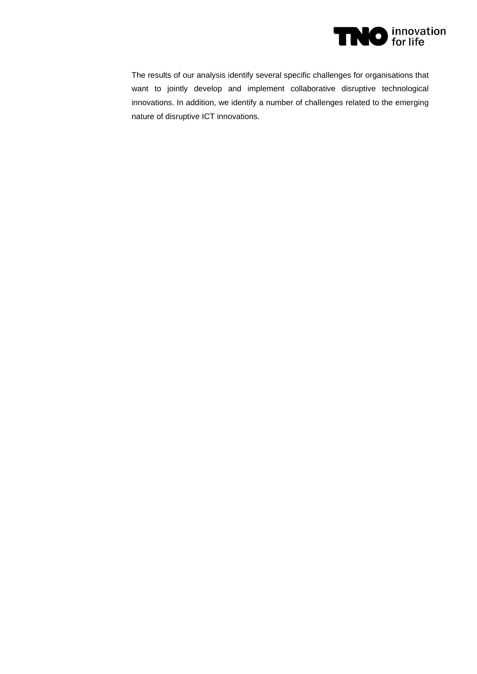

The results of our analysis identify several specific challenges for organisations that want to jointly develop and implement collaborative disruptive technological innovations. In addition, we identify a number of challenges related to the emerging nature of disruptive ICT innovations.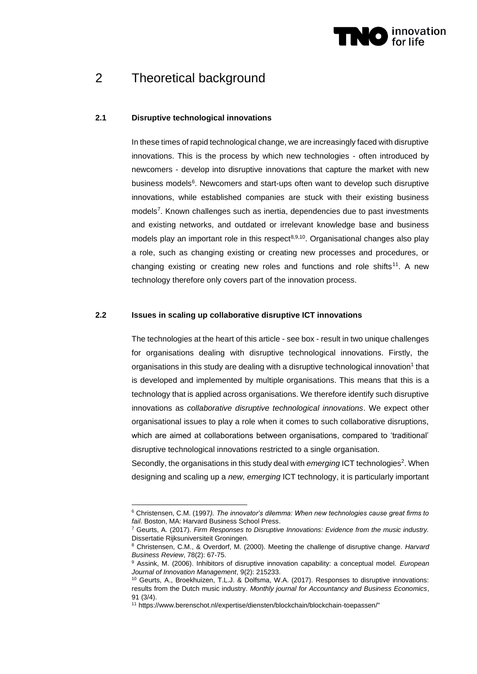

# 2 Theoretical background

### **2.1 Disruptive technological innovations**

In these times of rapid technological change, we are increasingly faced with disruptive innovations. This is the process by which new technologies - often introduced by newcomers - develop into disruptive innovations that capture the market with new business models<sup>6</sup>. Newcomers and start-ups often want to develop such disruptive innovations, while established companies are stuck with their existing business models<sup>7</sup>. Known challenges such as inertia, dependencies due to past investments and existing networks, and outdated or irrelevant knowledge base and business models play an important role in this respect<sup>8,9,10</sup>. Organisational changes also play a role, such as changing existing or creating new processes and procedures, or changing existing or creating new roles and functions and role shifts<sup>11</sup>. A new technology therefore only covers part of the innovation process.

#### **2.2 Issues in scaling up collaborative disruptive ICT innovations**

The technologies at the heart of this article - see box - result in two unique challenges for organisations dealing with disruptive technological innovations. Firstly, the organisations in this study are dealing with a disruptive technological innovation<sup>1</sup> that is developed and implemented by multiple organisations. This means that this is a technology that is applied across organisations. We therefore identify such disruptive innovations as *collaborative disruptive technological innovations*. We expect other organisational issues to play a role when it comes to such collaborative disruptions, which are aimed at collaborations between organisations, compared to 'traditional' disruptive technological innovations restricted to a single organisation.

Secondly, the organisations in this study deal with emerging ICT technologies<sup>2</sup>. When designing and scaling up a *new, emerging* ICT technology, it is particularly important

<sup>6</sup> Christensen, C.M. (1997*). The innovator's dilemma: When new technologies cause great firms to fail*. Boston, MA: Harvard Business School Press.

<sup>7</sup> Geurts, A. (2017). *Firm Responses to Disruptive Innovations: Evidence from the music industry.* Dissertatie Rijksuniversiteit Groningen.

<sup>8</sup> Christensen, C.M., & Overdorf, M. (2000). Meeting the challenge of disruptive change. *Harvard Business Review*, 78(2): 67-75.

<sup>9</sup> Assink, M. (2006). Inhibitors of disruptive innovation capability: a conceptual model. *European Journal of Innovation Management*, 9(2): 215233.

<sup>10</sup> Geurts, A., Broekhuizen, T.L.J. & Dolfsma, W.A. (2017). Responses to disruptive innovations: results from the Dutch music industry. *Monthly journal for Accountancy and Business Economics*, 91 (3/4).

<sup>11</sup> https://www.berenschot.nl/expertise/diensten/blockchain/blockchain-toepassen/"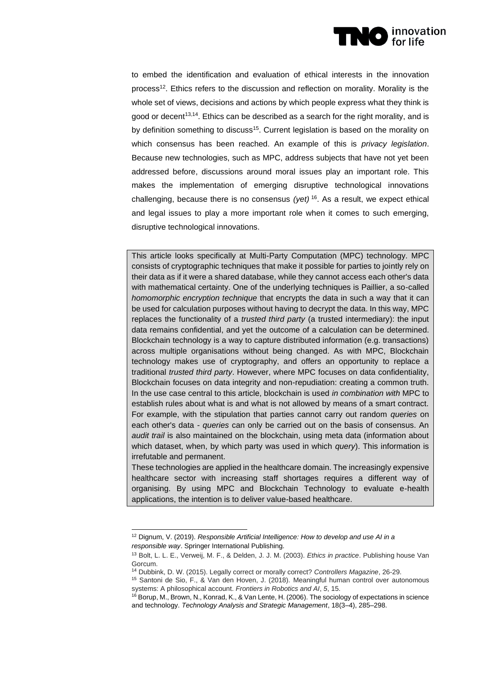

to embed the identification and evaluation of ethical interests in the innovation process<sup>12</sup>. Ethics refers to the discussion and reflection on morality. Morality is the whole set of views, decisions and actions by which people express what they think is good or decent<sup>13,14</sup>. Ethics can be described as a search for the right morality, and is by definition something to discuss<sup>15</sup>. Current legislation is based on the morality on which consensus has been reached. An example of this is *privacy legislation*. Because new technologies, such as MPC, address subjects that have not yet been addressed before, discussions around moral issues play an important role. This makes the implementation of emerging disruptive technological innovations challenging, because there is no consensus *(yet)* <sup>16</sup>. As a result, we expect ethical and legal issues to play a more important role when it comes to such emerging, disruptive technological innovations.

This article looks specifically at Multi-Party Computation (MPC) technology. MPC consists of cryptographic techniques that make it possible for parties to jointly rely on their data as if it were a shared database, while they cannot access each other's data with mathematical certainty. One of the underlying techniques is Paillier, a so-called *homomorphic encryption technique* that encrypts the data in such a way that it can be used for calculation purposes without having to decrypt the data. In this way, MPC replaces the functionality of a *trusted third party* (a trusted intermediary): the input data remains confidential, and yet the outcome of a calculation can be determined. Blockchain technology is a way to capture distributed information (e.g. transactions) across multiple organisations without being changed. As with MPC, Blockchain technology makes use of cryptography, and offers an opportunity to replace a traditional *trusted third party*. However, where MPC focuses on data confidentiality, Blockchain focuses on data integrity and non-repudiation: creating a common truth. In the use case central to this article, blockchain is used *in combination with* MPC to establish rules about what is and what is not allowed by means of a smart contract. For example, with the stipulation that parties cannot carry out random *queries* on each other's data - *queries* can only be carried out on the basis of consensus. An *audit trail* is also maintained on the blockchain, using meta data (information about which dataset, when, by which party was used in which *query*). This information is irrefutable and permanent.

These technologies are applied in the healthcare domain. The increasingly expensive healthcare sector with increasing staff shortages requires a different way of organising. By using MPC and Blockchain Technology to evaluate e-health applications, the intention is to deliver value-based healthcare.

<sup>12</sup> Dignum, V. (2019). *Responsible Artificial Intelligence: How to develop and use AI in a responsible way*. Springer International Publishing.

<sup>13</sup> Bolt, L. L. E., Verweij, M. F., & Delden, J. J. M. (2003). *Ethics in practice*. Publishing house Van Gorcum.

<sup>14</sup> Dubbink, D. W. (2015). Legally correct or morally correct? *Controllers Magazine*, 26-29.

<sup>15</sup> Santoni de Sio, F., & Van den Hoven, J. (2018). Meaningful human control over autonomous systems: A philosophical account. *Frontiers in Robotics and AI*, *5*, 15.

<sup>16</sup> Borup, M., Brown, N., Konrad, K., & Van Lente, H. (2006). The sociology of expectations in science and technology. *Technology Analysis and Strategic Management*, 18(3–4), 285–298.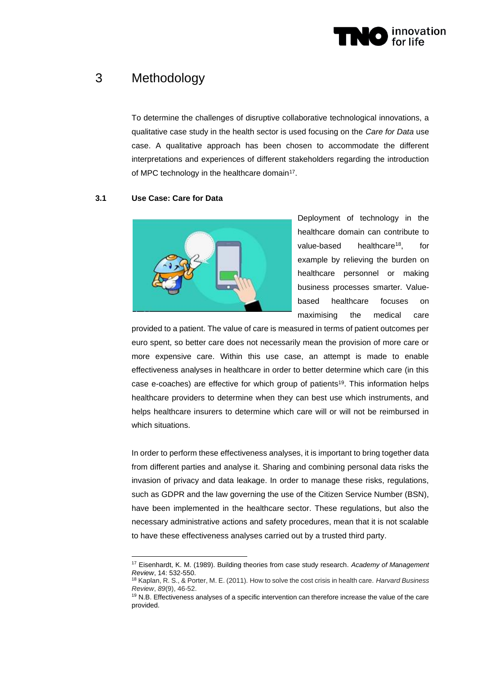

# 3 Methodology

To determine the challenges of disruptive collaborative technological innovations, a qualitative case study in the health sector is used focusing on the *Care for Data* use case. A qualitative approach has been chosen to accommodate the different interpretations and experiences of different stakeholders regarding the introduction of MPC technology in the healthcare domain<sup>17</sup>.

## **3.1 Use Case: Care for Data**



Deployment of technology in the healthcare domain can contribute to value-based healthcare<sup>18</sup>, for example by relieving the burden on healthcare personnel or making business processes smarter. Valuebased healthcare focuses on maximising the medical care

provided to a patient. The value of care is measured in terms of patient outcomes per euro spent, so better care does not necessarily mean the provision of more care or more expensive care. Within this use case, an attempt is made to enable effectiveness analyses in healthcare in order to better determine which care (in this case e-coaches) are effective for which group of patients<sup>19</sup>. This information helps healthcare providers to determine when they can best use which instruments, and helps healthcare insurers to determine which care will or will not be reimbursed in which situations.

In order to perform these effectiveness analyses, it is important to bring together data from different parties and analyse it. Sharing and combining personal data risks the invasion of privacy and data leakage. In order to manage these risks, regulations, such as GDPR and the law governing the use of the Citizen Service Number (BSN), have been implemented in the healthcare sector. These regulations, but also the necessary administrative actions and safety procedures, mean that it is not scalable to have these effectiveness analyses carried out by a trusted third party.

<sup>17</sup> Eisenhardt, K. M. (1989). Building theories from case study research*. Academy of Management Review*, 14: 532-550.

<sup>18</sup> Kaplan, R. S., & Porter, M. E. (2011). How to solve the cost crisis in health care. *Harvard Business Review*, *89*(9), 46-52.

<sup>&</sup>lt;sup>19</sup> N.B. Effectiveness analyses of a specific intervention can therefore increase the value of the care provided.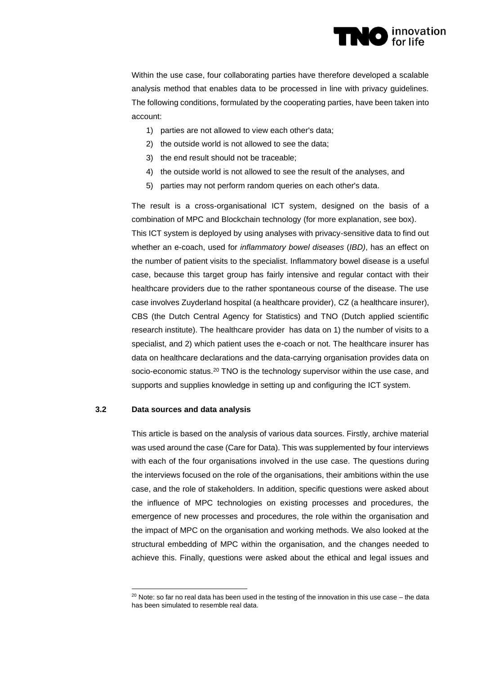

Within the use case, four collaborating parties have therefore developed a scalable analysis method that enables data to be processed in line with privacy guidelines. The following conditions, formulated by the cooperating parties, have been taken into account:

- 1) parties are not allowed to view each other's data;
- 2) the outside world is not allowed to see the data;
- 3) the end result should not be traceable;
- 4) the outside world is not allowed to see the result of the analyses, and
- 5) parties may not perform random queries on each other's data.

The result is a cross-organisational ICT system, designed on the basis of a combination of MPC and Blockchain technology (for more explanation, see box). This ICT system is deployed by using analyses with privacy-sensitive data to find out whether an e-coach, used for *inflammatory bowel diseases* (*IBD)*, has an effect on the number of patient visits to the specialist. Inflammatory bowel disease is a useful case, because this target group has fairly intensive and regular contact with their healthcare providers due to the rather spontaneous course of the disease. The use case involves Zuyderland hospital (a healthcare provider), CZ (a healthcare insurer), CBS (the Dutch Central Agency for Statistics) and TNO (Dutch applied scientific research institute). The healthcare provider has data on 1) the number of visits to a specialist, and 2) which patient uses the e-coach or not. The healthcare insurer has data on healthcare declarations and the data-carrying organisation provides data on socio-economic status.<sup>20</sup> TNO is the technology supervisor within the use case, and supports and supplies knowledge in setting up and configuring the ICT system.

### **3.2 Data sources and data analysis**

This article is based on the analysis of various data sources. Firstly, archive material was used around the case (Care for Data). This was supplemented by four interviews with each of the four organisations involved in the use case. The questions during the interviews focused on the role of the organisations, their ambitions within the use case, and the role of stakeholders. In addition, specific questions were asked about the influence of MPC technologies on existing processes and procedures, the emergence of new processes and procedures, the role within the organisation and the impact of MPC on the organisation and working methods. We also looked at the structural embedding of MPC within the organisation, and the changes needed to achieve this. Finally, questions were asked about the ethical and legal issues and

 $20$  Note: so far no real data has been used in the testing of the innovation in this use case – the data has been simulated to resemble real data.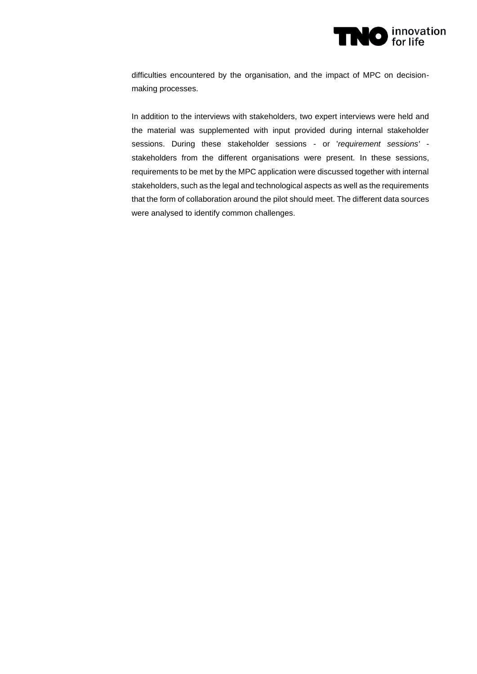

difficulties encountered by the organisation, and the impact of MPC on decisionmaking processes.

In addition to the interviews with stakeholders, two expert interviews were held and the material was supplemented with input provided during internal stakeholder sessions. During these stakeholder sessions - or '*requirement sessions'* stakeholders from the different organisations were present. In these sessions, requirements to be met by the MPC application were discussed together with internal stakeholders, such as the legal and technological aspects as well as the requirements that the form of collaboration around the pilot should meet. The different data sources were analysed to identify common challenges.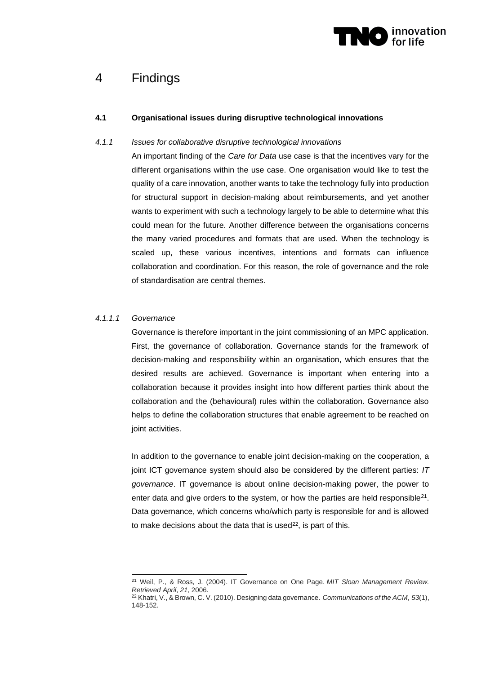

# 4 Findings

# **4.1 Organisational issues during disruptive technological innovations**

### *4.1.1 Issues for collaborative disruptive technological innovations*

An important finding of the *Care for Data* use case is that the incentives vary for the different organisations within the use case. One organisation would like to test the quality of a care innovation, another wants to take the technology fully into production for structural support in decision-making about reimbursements, and yet another wants to experiment with such a technology largely to be able to determine what this could mean for the future. Another difference between the organisations concerns the many varied procedures and formats that are used. When the technology is scaled up, these various incentives, intentions and formats can influence collaboration and coordination. For this reason, the role of governance and the role of standardisation are central themes.

### *4.1.1.1 Governance*

Governance is therefore important in the joint commissioning of an MPC application. First, the governance of collaboration. Governance stands for the framework of decision-making and responsibility within an organisation, which ensures that the desired results are achieved. Governance is important when entering into a collaboration because it provides insight into how different parties think about the collaboration and the (behavioural) rules within the collaboration. Governance also helps to define the collaboration structures that enable agreement to be reached on joint activities.

In addition to the governance to enable joint decision-making on the cooperation, a joint ICT governance system should also be considered by the different parties: *IT governance*. IT governance is about online decision-making power, the power to enter data and give orders to the system, or how the parties are held responsible<sup>21</sup>. Data governance, which concerns who/which party is responsible for and is allowed to make decisions about the data that is used $22$ , is part of this.

<sup>21</sup> Weil, P., & Ross, J. (2004). IT Governance on One Page. *MIT Sloan Management Review. Retrieved April*, *21*, 2006.

<sup>22</sup> Khatri, V., & Brown, C. V. (2010). Designing data governance. *Communications of the ACM*, *53*(1), 148-152.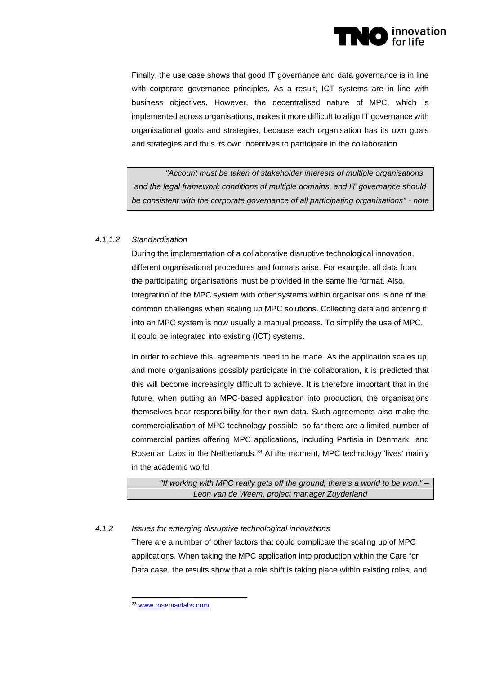

Finally, the use case shows that good IT governance and data governance is in line with corporate governance principles. As a result, ICT systems are in line with business objectives. However, the decentralised nature of MPC, which is implemented across organisations, makes it more difficult to align IT governance with organisational goals and strategies, because each organisation has its own goals and strategies and thus its own incentives to participate in the collaboration.

*"Account must be taken of stakeholder interests of multiple organisations and the legal framework conditions of multiple domains, and IT governance should be consistent with the corporate governance of all participating organisations" - note*

## *4.1.1.2 Standardisation*

During the implementation of a collaborative disruptive technological innovation, different organisational procedures and formats arise. For example, all data from the participating organisations must be provided in the same file format. Also, integration of the MPC system with other systems within organisations is one of the common challenges when scaling up MPC solutions. Collecting data and entering it into an MPC system is now usually a manual process. To simplify the use of MPC, it could be integrated into existing (ICT) systems.

In order to achieve this, agreements need to be made. As the application scales up, and more organisations possibly participate in the collaboration, it is predicted that this will become increasingly difficult to achieve. It is therefore important that in the future, when putting an MPC-based application into production, the organisations themselves bear responsibility for their own data. Such agreements also make the commercialisation of MPC technology possible: so far there are a limited number of commercial parties offering MPC applications, including Partisia in Denmark and Roseman Labs in the Netherlands.<sup>23</sup> At the moment, MPC technology 'lives' mainly in the academic world.

*"If working with MPC really gets off the ground, there's a world to be won." – Leon van de Weem, project manager Zuyderland*

# *4.1.2 Issues for emerging disruptive technological innovations*

There are a number of other factors that could complicate the scaling up of MPC applications. When taking the MPC application into production within the Care for Data case, the results show that a role shift is taking place within existing roles, and

<sup>23</sup> [www.rosemanlabs.com](https://rosemanlabs.com/)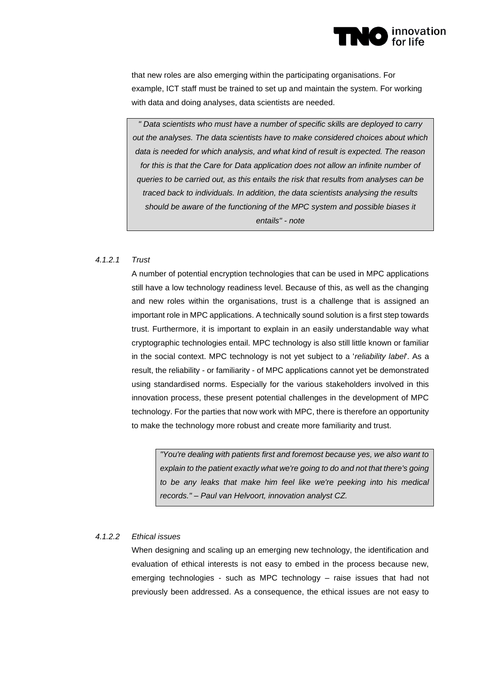

that new roles are also emerging within the participating organisations. For example, ICT staff must be trained to set up and maintain the system. For working with data and doing analyses, data scientists are needed.

*" Data scientists who must have a number of specific skills are deployed to carry out the analyses. The data scientists have to make considered choices about which data is needed for which analysis, and what kind of result is expected. The reason*  for this is that the Care for Data application does not allow an infinite number of *queries to be carried out, as this entails the risk that results from analyses can be traced back to individuals. In addition, the data scientists analysing the results should be aware of the functioning of the MPC system and possible biases it entails" - note*

### *4.1.2.1 Trust*

A number of potential encryption technologies that can be used in MPC applications still have a low technology readiness level. Because of this, as well as the changing and new roles within the organisations, trust is a challenge that is assigned an important role in MPC applications. A technically sound solution is a first step towards trust. Furthermore, it is important to explain in an easily understandable way what cryptographic technologies entail. MPC technology is also still little known or familiar in the social context. MPC technology is not yet subject to a '*reliability label*'. As a result, the reliability - or familiarity - of MPC applications cannot yet be demonstrated using standardised norms. Especially for the various stakeholders involved in this innovation process, these present potential challenges in the development of MPC technology. For the parties that now work with MPC, there is therefore an opportunity to make the technology more robust and create more familiarity and trust.

*"You're dealing with patients first and foremost because yes, we also want to explain to the patient exactly what we're going to do and not that there's going to be any leaks that make him feel like we're peeking into his medical records." – Paul van Helvoort, innovation analyst CZ.*

#### *4.1.2.2 Ethical issues*

When designing and scaling up an emerging new technology, the identification and evaluation of ethical interests is not easy to embed in the process because new, emerging technologies - such as MPC technology – raise issues that had not previously been addressed. As a consequence, the ethical issues are not easy to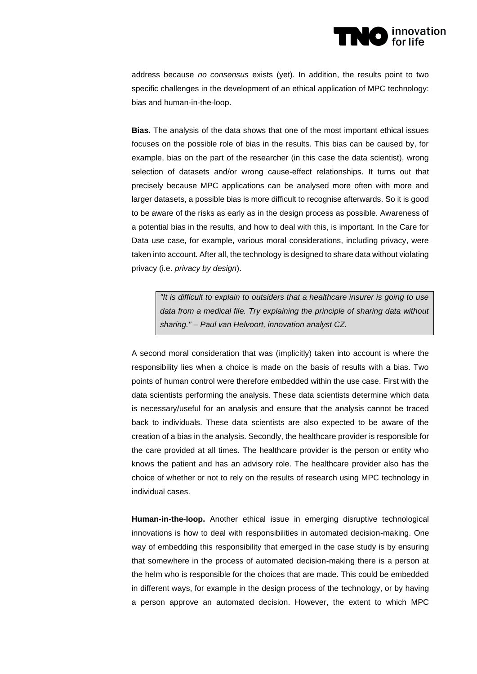

address because *no consensus* exists (yet). In addition, the results point to two specific challenges in the development of an ethical application of MPC technology: bias and human-in-the-loop.

**Bias.** The analysis of the data shows that one of the most important ethical issues focuses on the possible role of bias in the results. This bias can be caused by, for example, bias on the part of the researcher (in this case the data scientist), wrong selection of datasets and/or wrong cause-effect relationships. It turns out that precisely because MPC applications can be analysed more often with more and larger datasets, a possible bias is more difficult to recognise afterwards. So it is good to be aware of the risks as early as in the design process as possible. Awareness of a potential bias in the results, and how to deal with this, is important. In the Care for Data use case, for example, various moral considerations, including privacy, were taken into account. After all, the technology is designed to share data without violating privacy (i.e. *privacy by design*).

*"It is difficult to explain to outsiders that a healthcare insurer is going to use data from a medical file. Try explaining the principle of sharing data without sharing." – Paul van Helvoort, innovation analyst CZ.*

A second moral consideration that was (implicitly) taken into account is where the responsibility lies when a choice is made on the basis of results with a bias. Two points of human control were therefore embedded within the use case. First with the data scientists performing the analysis. These data scientists determine which data is necessary/useful for an analysis and ensure that the analysis cannot be traced back to individuals. These data scientists are also expected to be aware of the creation of a bias in the analysis. Secondly, the healthcare provider is responsible for the care provided at all times. The healthcare provider is the person or entity who knows the patient and has an advisory role. The healthcare provider also has the choice of whether or not to rely on the results of research using MPC technology in individual cases.

**Human-in-the-loop.** Another ethical issue in emerging disruptive technological innovations is how to deal with responsibilities in automated decision-making. One way of embedding this responsibility that emerged in the case study is by ensuring that somewhere in the process of automated decision-making there is a person at the helm who is responsible for the choices that are made. This could be embedded in different ways, for example in the design process of the technology, or by having a person approve an automated decision. However, the extent to which MPC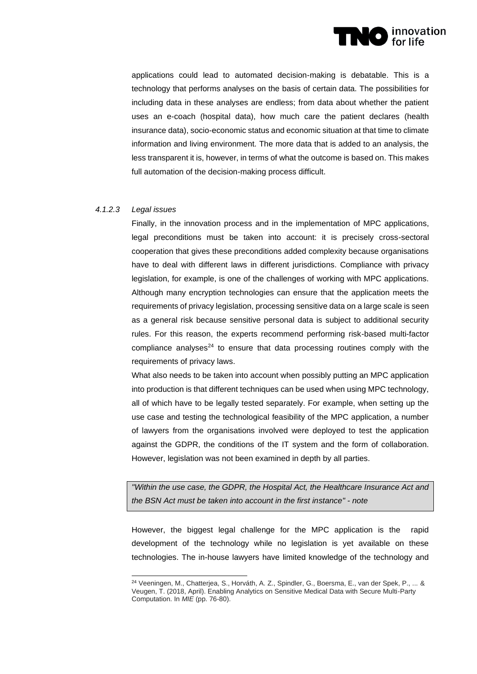

applications could lead to automated decision-making is debatable. This is a technology that performs analyses on the basis of certain data. The possibilities for including data in these analyses are endless; from data about whether the patient uses an e-coach (hospital data), how much care the patient declares (health insurance data), socio-economic status and economic situation at that time to climate information and living environment. The more data that is added to an analysis, the less transparent it is, however, in terms of what the outcome is based on. This makes full automation of the decision-making process difficult.

### *4.1.2.3 Legal issues*

Finally, in the innovation process and in the implementation of MPC applications, legal preconditions must be taken into account: it is precisely cross-sectoral cooperation that gives these preconditions added complexity because organisations have to deal with different laws in different jurisdictions. Compliance with privacy legislation, for example, is one of the challenges of working with MPC applications. Although many encryption technologies can ensure that the application meets the requirements of privacy legislation, processing sensitive data on a large scale is seen as a general risk because sensitive personal data is subject to additional security rules. For this reason, the experts recommend performing risk-based multi-factor compliance analyses $24$  to ensure that data processing routines comply with the requirements of privacy laws.

What also needs to be taken into account when possibly putting an MPC application into production is that different techniques can be used when using MPC technology, all of which have to be legally tested separately. For example, when setting up the use case and testing the technological feasibility of the MPC application, a number of lawyers from the organisations involved were deployed to test the application against the GDPR, the conditions of the IT system and the form of collaboration. However, legislation was not been examined in depth by all parties.

*"Within the use case, the GDPR, the Hospital Act, the Healthcare Insurance Act and the BSN Act must be taken into account in the first instance" - note*

However, the biggest legal challenge for the MPC application is the rapid development of the technology while no legislation is yet available on these technologies. The in-house lawyers have limited knowledge of the technology and

<sup>24</sup> Veeningen, M., Chatterjea, S., Horváth, A. Z., Spindler, G., Boersma, E., van der Spek, P., ... & Veugen, T. (2018, April). Enabling Analytics on Sensitive Medical Data with Secure Multi-Party Computation. In *MIE* (pp. 76-80).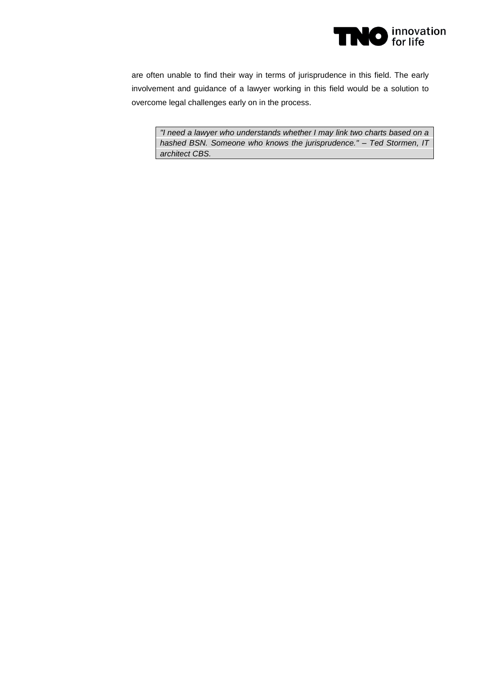

are often unable to find their way in terms of jurisprudence in this field. The early involvement and guidance of a lawyer working in this field would be a solution to overcome legal challenges early on in the process.

*"I need a lawyer who understands whether I may link two charts based on a hashed BSN. Someone who knows the jurisprudence." – Ted Stormen, IT architect CBS.*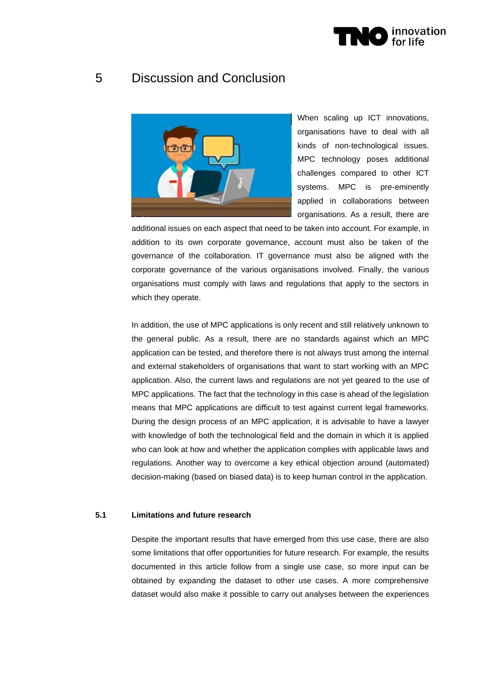

# 5 Discussion and Conclusion



When scaling up ICT innovations, organisations have to deal with all kinds of non-technological issues. MPC technology poses additional challenges compared to other ICT systems. MPC is pre-eminently applied in collaborations between organisations. As a result, there are

additional issues on each aspect that need to be taken into account. For example, in addition to its own corporate governance, account must also be taken of the governance of the collaboration. IT governance must also be aligned with the corporate governance of the various organisations involved. Finally, the various organisations must comply with laws and regulations that apply to the sectors in which they operate.

In addition, the use of MPC applications is only recent and still relatively unknown to the general public. As a result, there are no standards against which an MPC application can be tested, and therefore there is not always trust among the internal and external stakeholders of organisations that want to start working with an MPC application. Also, the current laws and regulations are not yet geared to the use of MPC applications. The fact that the technology in this case is ahead of the legislation means that MPC applications are difficult to test against current legal frameworks. During the design process of an MPC application, it is advisable to have a lawyer with knowledge of both the technological field and the domain in which it is applied who can look at how and whether the application complies with applicable laws and regulations. Another way to overcome a key ethical objection around (automated) decision-making (based on biased data) is to keep human control in the application.

### **5.1 Limitations and future research**

Despite the important results that have emerged from this use case, there are also some limitations that offer opportunities for future research. For example, the results documented in this article follow from a single use case, so more input can be obtained by expanding the dataset to other use cases. A more comprehensive dataset would also make it possible to carry out analyses between the experiences